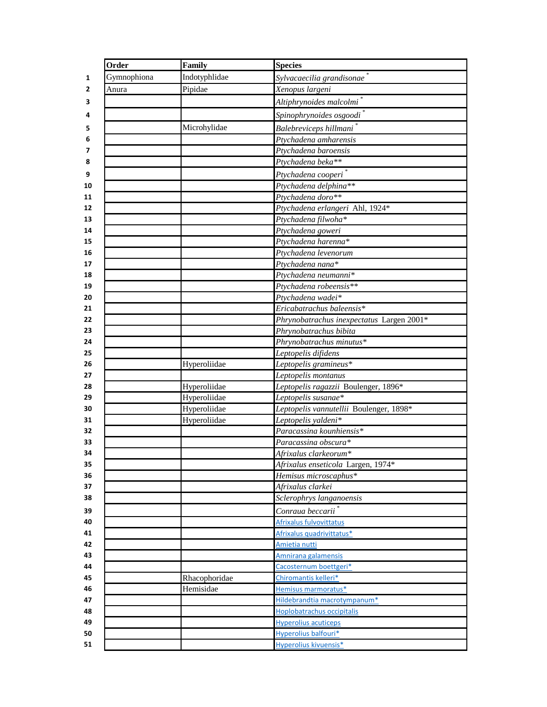|          | Order       | Family        | <b>Species</b>                                      |
|----------|-------------|---------------|-----------------------------------------------------|
| 1        | Gymnophiona | Indotyphlidae | Sylvacaecilia grandisonae                           |
| 2        | Anura       | Pipidae       | Xenopus largeni                                     |
| 3        |             |               | Altiphrynoides malcolmi <sup>*</sup>                |
| 4        |             |               | Spinophrynoides osgoodi                             |
| 5        |             | Microhylidae  | Balebreviceps hillmani <sup>*</sup>                 |
| 6        |             |               | Ptychadena amharensis                               |
| 7        |             |               | Ptychadena baroensis                                |
| 8        |             |               | Ptychadena beka**                                   |
| 9        |             |               | Ptychadena cooperi <sup>*</sup>                     |
| 10       |             |               | Ptychadena delphina**                               |
| 11       |             |               | Ptychadena doro**                                   |
| 12       |             |               | Ptychadena erlangeri Ahl, 1924*                     |
| 13       |             |               | Ptychadena filwoha*                                 |
| 14       |             |               | Ptychadena goweri                                   |
| 15       |             |               | Ptychadena harenna*                                 |
| 16       |             |               | Ptychadena levenorum                                |
| 17       |             |               | Ptychadena nana*                                    |
| 18       |             |               | Ptychadena neumanni*                                |
| 19       |             |               | Ptychadena robeensis**                              |
| 20       |             |               | Ptychadena wadei*                                   |
| 21       |             |               | Ericabatrachus baleensis*                           |
| 22       |             |               | Phrynobatrachus inexpectatus Largen 2001*           |
| 23       |             |               | Phrynobatrachus bibita                              |
| 24       |             |               | Phrynobatrachus minutus*                            |
| 25       |             |               | Leptopelis difidens                                 |
| 26       |             | Hyperoliidae  | Leptopelis gramineus*                               |
| 27       |             |               | Leptopelis montanus                                 |
| 28       |             | Hyperoliidae  | Leptopelis ragazzii Boulenger, 1896*                |
| 29       |             | Hyperoliidae  | Leptopelis susanae*                                 |
| 30       |             | Hyperoliidae  | Leptopelis vannutellii Boulenger, 1898*             |
| 31       |             | Hyperoliidae  | Leptopelis yaldeni*                                 |
| 32       |             |               | Paracassina kounhiensis*                            |
| 33       |             |               | Paracassina obscura*                                |
| 34       |             |               | Afrixalus clarkeorum*                               |
| 35       |             |               | Afrixalus enseticola Largen, 1974*                  |
| 36       |             |               | Hemisus microscaphus*                               |
| 37       |             |               | Afrixalus clarkei                                   |
| 38       |             |               | Sclerophrys langanoensis                            |
| 39       |             |               | Conraua beccarii <sup>*</sup>                       |
| 40       |             |               | <b>Afrixalus fulvovittatus</b>                      |
| 41       |             |               | Afrixalus quadrivittatus*                           |
| 42       |             |               | Amietia nutti                                       |
| 43       |             |               | Amnirana galamensis                                 |
| 44       |             |               | Cacosternum boettgeri*                              |
| 45       |             | Rhacophoridae | Chiromantis kelleri*                                |
| 46       |             | Hemisidae     | Hemisus marmoratus*                                 |
| 47       |             |               | Hildebrandtia macrotympanum*                        |
| 48<br>49 |             |               | Hoplobatrachus occipitalis                          |
| 50       |             |               | <b>Hyperolius acuticeps</b><br>Hyperolius balfouri* |
| 51       |             |               | <b>Hyperolius kivuensis*</b>                        |
|          |             |               |                                                     |